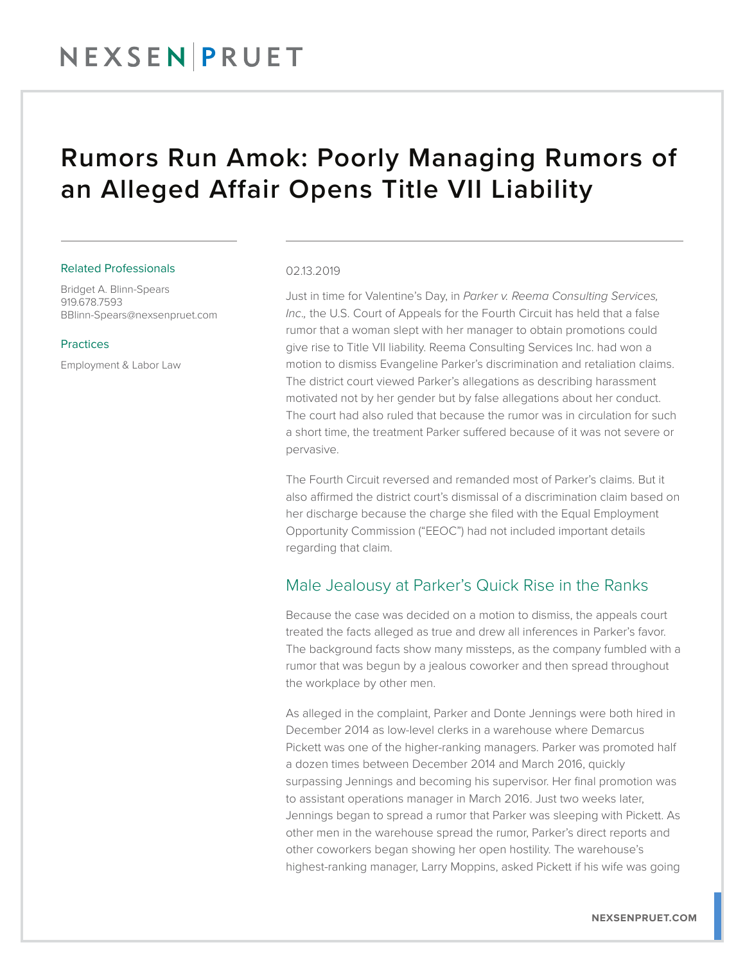## NEXSEN PRUET

## Rumors Run Amok: Poorly Managing Rumors of an Alleged Affair Opens Title VII Liability

#### Related Professionals

Bridget A. Blinn-Spears 919.678.7593 BBlinn-Spears@nexsenpruet.com

#### Practices

Employment & Labor Law

#### 02.13.2019

Just in time for Valentine's Day, in *Parker v. Reema Consulting Services, Inc*.*,* the U.S. Court of Appeals for the Fourth Circuit has held that a false rumor that a woman slept with her manager to obtain promotions could give rise to Title VII liability. Reema Consulting Services Inc. had won a motion to dismiss Evangeline Parker's discrimination and retaliation claims. The district court viewed Parker's allegations as describing harassment motivated not by her gender but by false allegations about her conduct. The court had also ruled that because the rumor was in circulation for such a short time, the treatment Parker suffered because of it was not severe or pervasive.

The Fourth Circuit reversed and remanded most of Parker's claims. But it also affirmed the district court's dismissal of a discrimination claim based on her discharge because the charge she filed with the Equal Employment Opportunity Commission ("EEOC") had not included important details regarding that claim.

#### Male Jealousy at Parker's Quick Rise in the Ranks

Because the case was decided on a motion to dismiss, the appeals court treated the facts alleged as true and drew all inferences in Parker's favor. The background facts show many missteps, as the company fumbled with a rumor that was begun by a jealous coworker and then spread throughout the workplace by other men.

As alleged in the complaint, Parker and Donte Jennings were both hired in December 2014 as low-level clerks in a warehouse where Demarcus Pickett was one of the higher-ranking managers. Parker was promoted half a dozen times between December 2014 and March 2016, quickly surpassing Jennings and becoming his supervisor. Her final promotion was to assistant operations manager in March 2016. Just two weeks later, Jennings began to spread a rumor that Parker was sleeping with Pickett. As other men in the warehouse spread the rumor, Parker's direct reports and other coworkers began showing her open hostility. The warehouse's highest-ranking manager, Larry Moppins, asked Pickett if his wife was going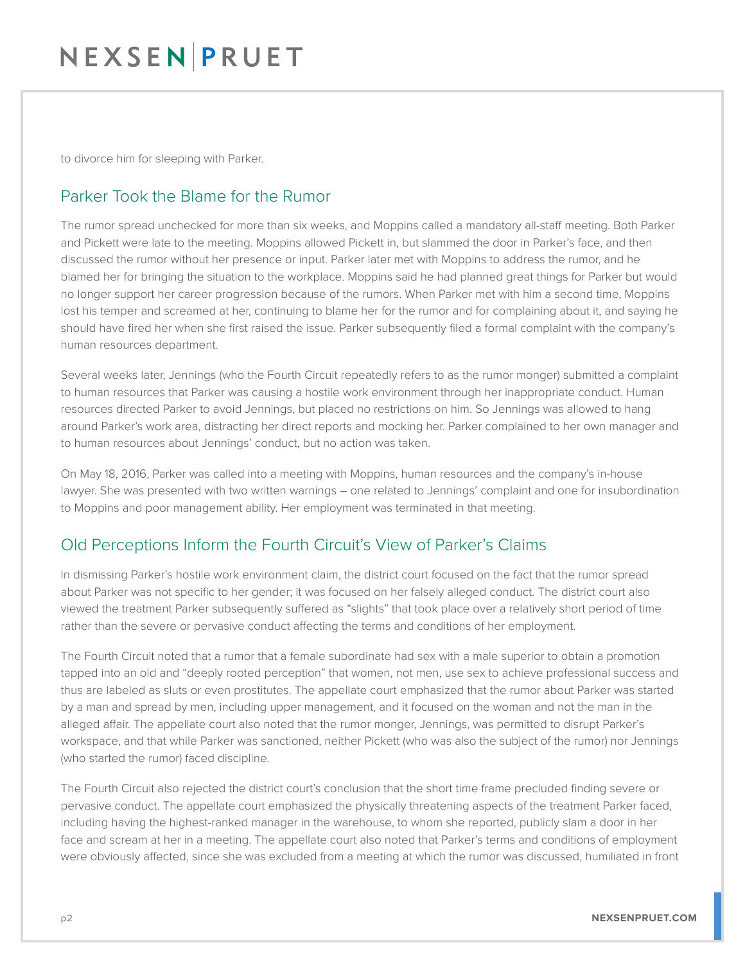## NEXSENPRUET

to divorce him for sleeping with Parker.

### Parker Took the Blame for the Rumor

The rumor spread unchecked for more than six weeks, and Moppins called a mandatory all-staff meeting. Both Parker and Pickett were late to the meeting. Moppins allowed Pickett in, but slammed the door in Parker's face, and then discussed the rumor without her presence or input. Parker later met with Moppins to address the rumor, and he blamed her for bringing the situation to the workplace. Moppins said he had planned great things for Parker but would no longer support her career progression because of the rumors. When Parker met with him a second time, Moppins lost his temper and screamed at her, continuing to blame her for the rumor and for complaining about it, and saying he should have fired her when she first raised the issue. Parker subsequently filed a formal complaint with the company's human resources department.

Several weeks later, Jennings (who the Fourth Circuit repeatedly refers to as the rumor monger) submitted a complaint to human resources that Parker was causing a hostile work environment through her inappropriate conduct. Human resources directed Parker to avoid Jennings, but placed no restrictions on him. So Jennings was allowed to hang around Parker's work area, distracting her direct reports and mocking her. Parker complained to her own manager and to human resources about Jennings' conduct, but no action was taken.

On May 18, 2016, Parker was called into a meeting with Moppins, human resources and the company's in-house lawyer. She was presented with two written warnings – one related to Jennings' complaint and one for insubordination to Moppins and poor management ability. Her employment was terminated in that meeting.

### Old Perceptions Inform the Fourth Circuit's View of Parker's Claims

In dismissing Parker's hostile work environment claim, the district court focused on the fact that the rumor spread about Parker was not specific to her gender; it was focused on her falsely alleged conduct. The district court also viewed the treatment Parker subsequently suffered as "slights" that took place over a relatively short period of time rather than the severe or pervasive conduct affecting the terms and conditions of her employment.

The Fourth Circuit noted that a rumor that a female subordinate had sex with a male superior to obtain a promotion tapped into an old and "deeply rooted perception" that women, not men, use sex to achieve professional success and thus are labeled as sluts or even prostitutes. The appellate court emphasized that the rumor about Parker was started by a man and spread by men, including upper management, and it focused on the woman and not the man in the alleged affair. The appellate court also noted that the rumor monger, Jennings, was permitted to disrupt Parker's workspace, and that while Parker was sanctioned, neither Pickett (who was also the subject of the rumor) nor Jennings (who started the rumor) faced discipline.

The Fourth Circuit also rejected the district court's conclusion that the short time frame precluded finding severe or pervasive conduct. The appellate court emphasized the physically threatening aspects of the treatment Parker faced, including having the highest-ranked manager in the warehouse, to whom she reported, publicly slam a door in her face and scream at her in a meeting. The appellate court also noted that Parker's terms and conditions of employment were obviously affected, since she was excluded from a meeting at which the rumor was discussed, humiliated in front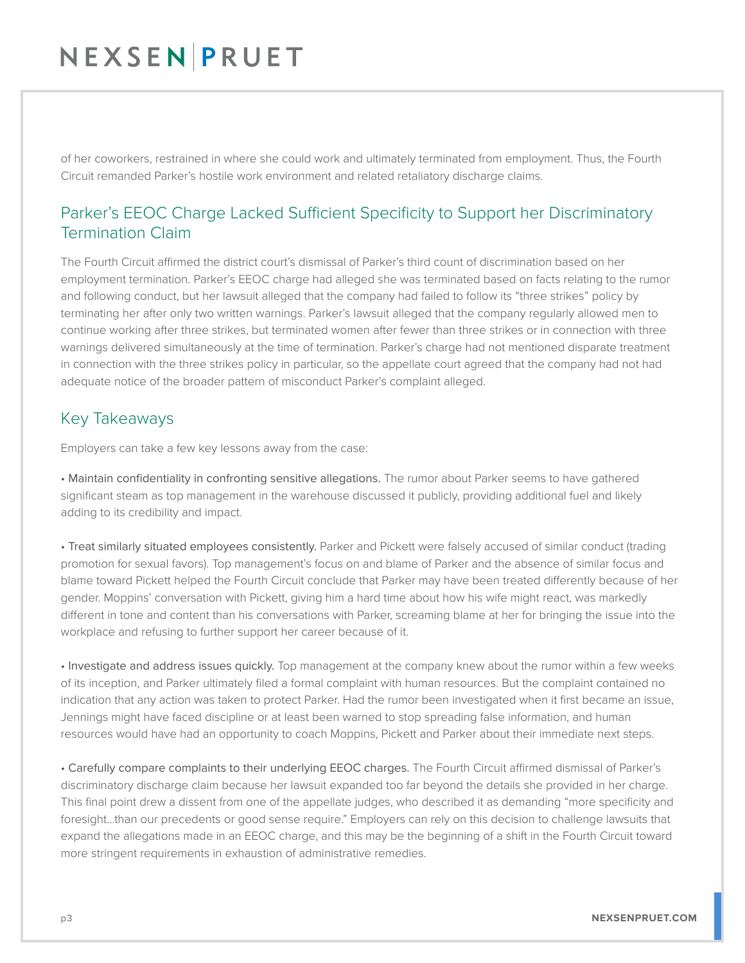# NEXSENPRUET

of her coworkers, restrained in where she could work and ultimately terminated from employment. Thus, the Fourth Circuit remanded Parker's hostile work environment and related retaliatory discharge claims.

### Parker's EEOC Charge Lacked Sufficient Specificity to Support her Discriminatory Termination Claim

The Fourth Circuit affirmed the district court's dismissal of Parker's third count of discrimination based on her employment termination. Parker's EEOC charge had alleged she was terminated based on facts relating to the rumor and following conduct, but her lawsuit alleged that the company had failed to follow its "three strikes" policy by terminating her after only two written warnings. Parker's lawsuit alleged that the company regularly allowed men to continue working after three strikes, but terminated women after fewer than three strikes or in connection with three warnings delivered simultaneously at the time of termination. Parker's charge had not mentioned disparate treatment in connection with the three strikes policy in particular, so the appellate court agreed that the company had not had adequate notice of the broader pattern of misconduct Parker's complaint alleged.

#### Key Takeaways

Employers can take a few key lessons away from the case:

• Maintain confidentiality in confronting sensitive allegations. The rumor about Parker seems to have gathered significant steam as top management in the warehouse discussed it publicly, providing additional fuel and likely adding to its credibility and impact.

• Treat similarly situated employees consistently. Parker and Pickett were falsely accused of similar conduct (trading promotion for sexual favors). Top management's focus on and blame of Parker and the absence of similar focus and blame toward Pickett helped the Fourth Circuit conclude that Parker may have been treated differently because of her gender. Moppins' conversation with Pickett, giving him a hard time about how his wife might react, was markedly different in tone and content than his conversations with Parker, screaming blame at her for bringing the issue into the workplace and refusing to further support her career because of it.

• Investigate and address issues quickly. Top management at the company knew about the rumor within a few weeks of its inception, and Parker ultimately filed a formal complaint with human resources. But the complaint contained no indication that any action was taken to protect Parker. Had the rumor been investigated when it first became an issue, Jennings might have faced discipline or at least been warned to stop spreading false information, and human resources would have had an opportunity to coach Moppins, Pickett and Parker about their immediate next steps.

• Carefully compare complaints to their underlying EEOC charges. The Fourth Circuit affirmed dismissal of Parker's discriminatory discharge claim because her lawsuit expanded too far beyond the details she provided in her charge. This final point drew a dissent from one of the appellate judges, who described it as demanding "more specificity and foresight…than our precedents or good sense require." Employers can rely on this decision to challenge lawsuits that expand the allegations made in an EEOC charge, and this may be the beginning of a shift in the Fourth Circuit toward more stringent requirements in exhaustion of administrative remedies.